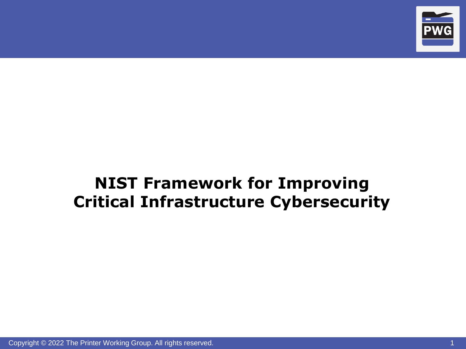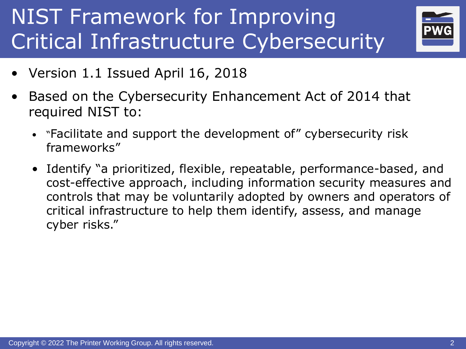

- Version 1.1 Issued April 16, 2018
- Based on the Cybersecurity Enhancement Act of 2014 that required NIST to:
	- "Facilitate and support the development of" cybersecurity risk frameworks"
	- Identify "a prioritized, flexible, repeatable, performance-based, and cost-effective approach, including information security measures and controls that may be voluntarily adopted by owners and operators of critical infrastructure to help them identify, assess, and manage cyber risks."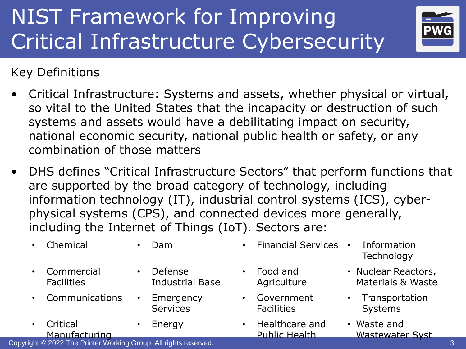

#### Key Definitions

- Critical Infrastructure: Systems and assets, whether physical or virtual, so vital to the United States that the incapacity or destruction of such systems and assets would have a debilitating impact on security, national economic security, national public health or safety, or any combination of those matters
- DHS defines "Critical Infrastructure Sectors" that perform functions that are supported by the broad category of technology, including information technology (IT), industrial control systems (ICS), cyberphysical systems (CPS), and connected devices more generally, including the Internet of Things (IoT). Sectors are:

| Chemical                                                                                                                         | Dam                                       | <b>Financial Services</b><br>$\bullet$ | Information<br>$\bullet$<br>Technology              |
|----------------------------------------------------------------------------------------------------------------------------------|-------------------------------------------|----------------------------------------|-----------------------------------------------------|
| Commercial<br>$\bullet$<br><b>Facilities</b>                                                                                     | Defense<br><b>Industrial Base</b>         | Food and<br>Agriculture                | • Nuclear Reactors,<br><b>Materials &amp; Waste</b> |
| Communications<br>$\bullet$                                                                                                      | Emergency<br>$\bullet$<br><b>Services</b> | Government<br><b>Facilities</b>        | Transportation<br><b>Systems</b>                    |
| Critical<br>$\bullet$                                                                                                            | Energy<br>$\bullet$                       | Healthcare and<br><b>Public Health</b> | • Waste and<br><b>Wastewater Syst</b>               |
| Manufacturing<br>$\sim$ and $\approx$ 0.000 The Defection $M_{\rm BH}$ is $\Omega_{\rm B}$ . One can All studies are a series of |                                           |                                        |                                                     |

Copyright © 2022 The Printer Working Group. All rights reserved. 3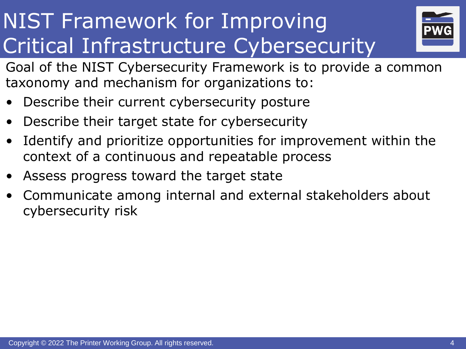

- Goal of the NIST Cybersecurity Framework is to provide a common taxonomy and mechanism for organizations to:
- Describe their current cybersecurity posture
- Describe their target state for cybersecurity
- I dentify and prioritize opportunities for improvement within the context of a continuous and repeatable process
- Assess progress toward the target state
- Communicate among internal and external stakeholders about cybersecurity risk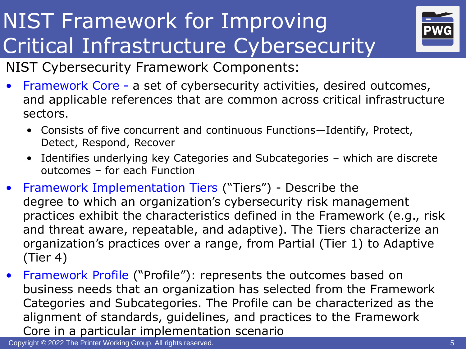

NIST Cybersecurity Framework Components:

- Framework Core a set of cybersecurity activities, desired outcomes, and applicable references that are common across critical infrastructure sectors.
	- Consists of five concurrent and continuous Functions—Identify, Protect, Detect, Respond, Recover
	- Identifies underlying key Categories and Subcategories which are discrete outcomes – for each Function
- Framework Implementation Tiers ("Tiers") Describe the degree to which an organization's cybersecurity risk management practices exhibit the characteristics defined in the Framework (e.g., risk and threat aware, repeatable, and adaptive). The Tiers characterize an organization's practices over a range, from Partial (Tier 1) to Adaptive (Tier 4)
- Framework Profile ("Profile"): represents the outcomes based on business needs that an organization has selected from the Framework Categories and Subcategories. The Profile can be characterized as the alignment of standards, guidelines, and practices to the Framework Core in a particular implementation scenario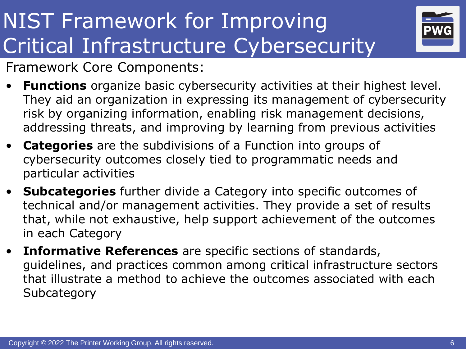

Framework Core Components:

- **Functions** organize basic cybersecurity activities at their highest level. They aid an organization in expressing its management of cybersecurity risk by organizing information, enabling risk management decisions, addressing threats, and improving by learning from previous activities
- **Categories** are the subdivisions of a Function into groups of cybersecurity outcomes closely tied to programmatic needs and particular activities
- **Subcategories** further divide a Category into specific outcomes of technical and/or management activities. They provide a set of results that, while not exhaustive, help support achievement of the outcomes in each Category
- **Informative References** are specific sections of standards, guidelines, and practices common among critical infrastructure sectors that illustrate a method to achieve the outcomes associated with each **Subcategory**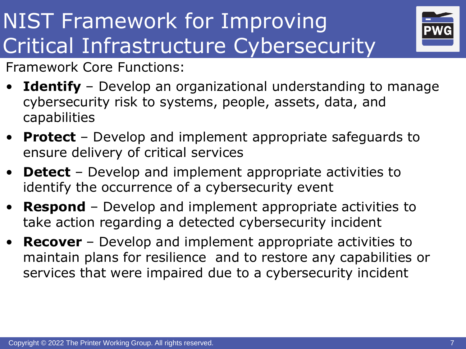

Framework Core Functions:

- **Identify**  Develop an organizational understanding to manage cybersecurity risk to systems, people, assets, data, and capabilities
- **Protect**  Develop and implement appropriate safeguards to ensure delivery of critical services
- **Detect**  Develop and implement appropriate activities to identify the occurrence of a cybersecurity event
- **Respond**  Develop and implement appropriate activities to take action regarding a detected cybersecurity incident
- **Recover** Develop and implement appropriate activities to maintain plans for resilience and to restore any capabilities or services that were impaired due to a cybersecurity incident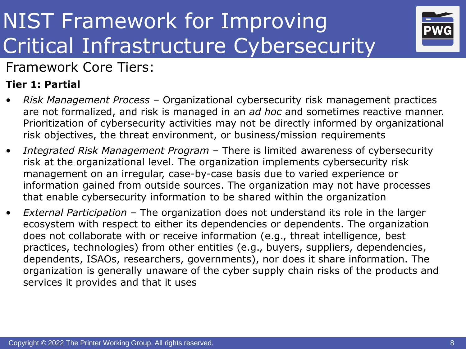

Framework Core Tiers:

#### **Tier 1: Partial**

- *Risk Management Process*  Organizational cybersecurity risk management practices are not formalized, and risk is managed in an *ad hoc* and sometimes reactive manner. Prioritization of cybersecurity activities may not be directly informed by organizational risk objectives, the threat environment, or business/mission requirements
- *Integrated Risk Management Program*  There is limited awareness of cybersecurity risk at the organizational level. The organization implements cybersecurity risk management on an irregular, case-by-case basis due to varied experience or information gained from outside sources. The organization may not have processes that enable cybersecurity information to be shared within the organization
- *External Participation*  The organization does not understand its role in the larger ecosystem with respect to either its dependencies or dependents. The organization does not collaborate with or receive information (e.g., threat intelligence, best practices, technologies) from other entities (e.g., buyers, suppliers, dependencies, dependents, ISAOs, researchers, governments), nor does it share information. The organization is generally unaware of the cyber supply chain risks of the products and services it provides and that it uses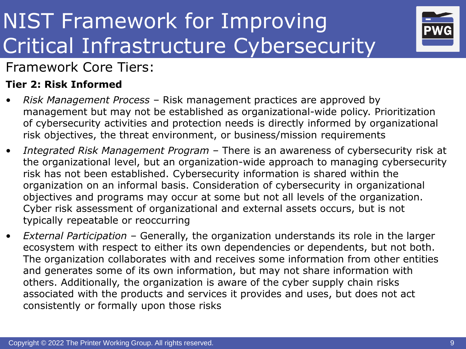

Framework Core Tiers:

#### **Tier 2: Risk Informed**

- *Risk Management Process*  Risk management practices are approved by management but may not be established as organizational-wide policy. Prioritization of cybersecurity activities and protection needs is directly informed by organizational risk objectives, the threat environment, or business/mission requirements
- *Integrated Risk Management Program*  There is an awareness of cybersecurity risk at the organizational level, but an organization-wide approach to managing cybersecurity risk has not been established. Cybersecurity information is shared within the organization on an informal basis. Consideration of cybersecurity in organizational objectives and programs may occur at some but not all levels of the organization. Cyber risk assessment of organizational and external assets occurs, but is not typically repeatable or reoccurring
- *External Participation*  Generally, the organization understands its role in the larger ecosystem with respect to either its own dependencies or dependents, but not both. The organization collaborates with and receives some information from other entities and generates some of its own information, but may not share information with others. Additionally, the organization is aware of the cyber supply chain risks associated with the products and services it provides and uses, but does not act consistently or formally upon those risks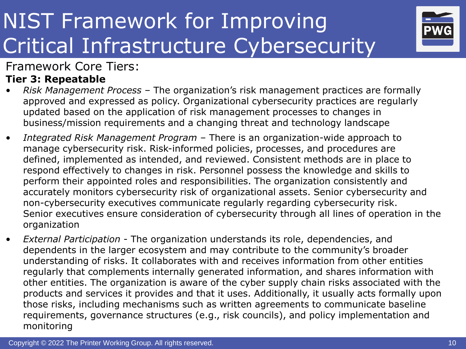

Framework Core Tiers:

#### **Tier 3: Repeatable**

- *Risk Management Process*  The organization's risk management practices are formally approved and expressed as policy. Organizational cybersecurity practices are regularly updated based on the application of risk management processes to changes in business/mission requirements and a changing threat and technology landscape
- *Integrated Risk Management Program*  There is an organization-wide approach to manage cybersecurity risk. Risk-informed policies, processes, and procedures are defined, implemented as intended, and reviewed. Consistent methods are in place to respond effectively to changes in risk. Personnel possess the knowledge and skills to perform their appointed roles and responsibilities. The organization consistently and accurately monitors cybersecurity risk of organizational assets. Senior cybersecurity and non-cybersecurity executives communicate regularly regarding cybersecurity risk. Senior executives ensure consideration of cybersecurity through all lines of operation in the organization
- *External Participation*  The organization understands its role, dependencies, and dependents in the larger ecosystem and may contribute to the community's broader understanding of risks. It collaborates with and receives information from other entities regularly that complements internally generated information, and shares information with other entities. The organization is aware of the cyber supply chain risks associated with the products and services it provides and that it uses. Additionally, it usually acts formally upon those risks, including mechanisms such as written agreements to communicate baseline requirements, governance structures (e.g., risk councils), and policy implementation and monitoring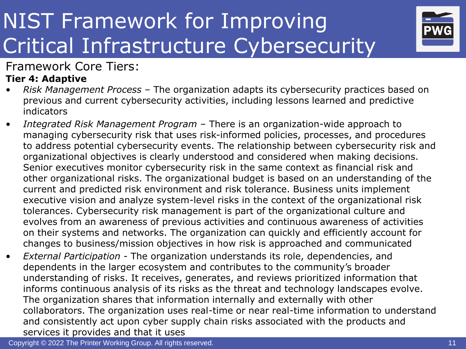

Framework Core Tiers:

#### **Tier 4: Adaptive**

- *Risk Management Process*  The organization adapts its cybersecurity practices based on previous and current cybersecurity activities, including lessons learned and predictive indicators
- *Integrated Risk Management Program*  There is an organization-wide approach to managing cybersecurity risk that uses risk-informed policies, processes, and procedures to address potential cybersecurity events. The relationship between cybersecurity risk and organizational objectives is clearly understood and considered when making decisions. Senior executives monitor cybersecurity risk in the same context as financial risk and other organizational risks. The organizational budget is based on an understanding of the current and predicted risk environment and risk tolerance. Business units implement executive vision and analyze system-level risks in the context of the organizational risk tolerances. Cybersecurity risk management is part of the organizational culture and evolves from an awareness of previous activities and continuous awareness of activities on their systems and networks. The organization can quickly and efficiently account for changes to business/mission objectives in how risk is approached and communicated
- *External Participation*  The organization understands its role, dependencies, and dependents in the larger ecosystem and contributes to the community's broader understanding of risks. It receives, generates, and reviews prioritized information that informs continuous analysis of its risks as the threat and technology landscapes evolve. The organization shares that information internally and externally with other collaborators. The organization uses real-time or near real-time information to understand and consistently act upon cyber supply chain risks associated with the products and services it provides and that it uses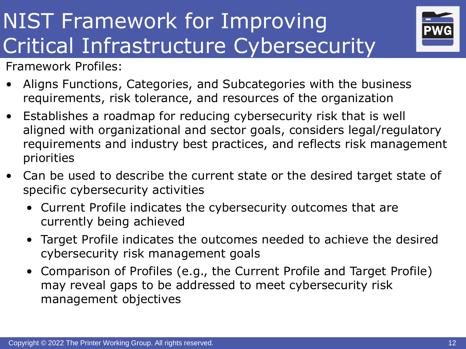

Framework Profiles:

- Aligns Functions, Categories, and Subcategories with the business requirements, risk tolerance, and resources of the organization
- Establishes a roadmap for reducing cybersecurity risk that is well aligned with organizational and sector goals, considers legal/regulatory requirements and industry best practices, and reflects risk management priorities
- Can be used to describe the current state or the desired target state of specific cybersecurity activities
	- Current Profile indicates the cybersecurity outcomes that are currently being achieved
	- Target Profile indicates the outcomes needed to achieve the desired cybersecurity risk management goals
	- Comparison of Profiles (e.g., the Current Profile and Target Profile) may reveal gaps to be addressed to meet cybersecurity risk management objectives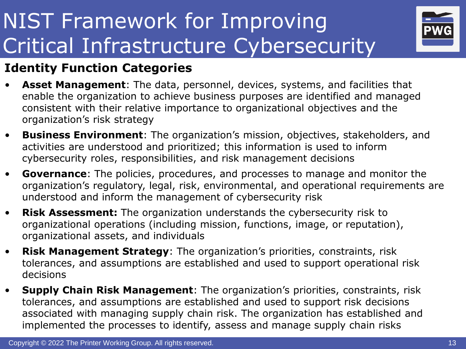

#### **Identity Function Categories**

- **Asset Management**: The data, personnel, devices, systems, and facilities that enable the organization to achieve business purposes are identified and managed consistent with their relative importance to organizational objectives and the organization's risk strategy
- **Business Environment**: The organization's mission, objectives, stakeholders, and activities are understood and prioritized; this information is used to inform cybersecurity roles, responsibilities, and risk management decisions
- **Governance**: The policies, procedures, and processes to manage and monitor the organization's regulatory, legal, risk, environmental, and operational requirements are understood and inform the management of cybersecurity risk
- **Risk Assessment:** The organization understands the cybersecurity risk to organizational operations (including mission, functions, image, or reputation), organizational assets, and individuals
- **Risk Management Strategy**: The organization's priorities, constraints, risk tolerances, and assumptions are established and used to support operational risk decisions
- **Supply Chain Risk Management**: The organization's priorities, constraints, risk tolerances, and assumptions are established and used to support risk decisions associated with managing supply chain risk. The organization has established and implemented the processes to identify, assess and manage supply chain risks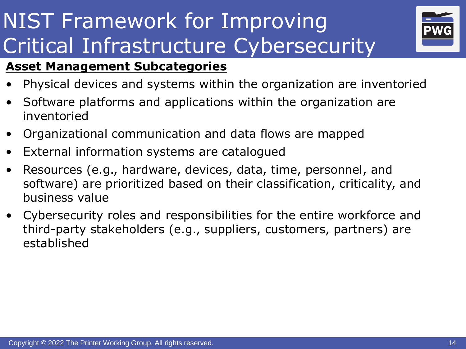

#### **Asset Management Subcategories**

- Physical devices and systems within the organization are inventoried
- Software platforms and applications within the organization are inventoried
- Organizational communication and data flows are mapped
- External information systems are catalogued
- Resources (e.g., hardware, devices, data, time, personnel, and software) are prioritized based on their classification, criticality, and business value
- Cybersecurity roles and responsibilities for the entire workforce and third-party stakeholders (e.g., suppliers, customers, partners) are established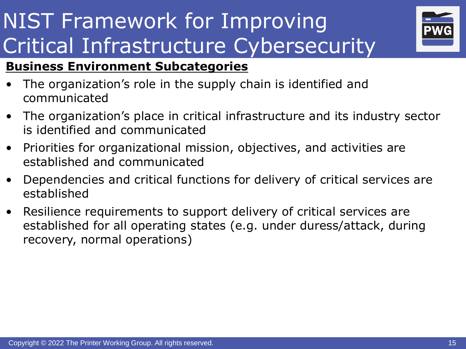

#### **Business Environment Subcategories**

- The organization's role in the supply chain is identified and communicated
- The organization's place in critical infrastructure and its industry sector is identified and communicated
- Priorities for organizational mission, objectives, and activities are established and communicated
- Dependencies and critical functions for delivery of critical services are established
- Resilience requirements to support delivery of critical services are established for all operating states (e.g. under duress/attack, during recovery, normal operations)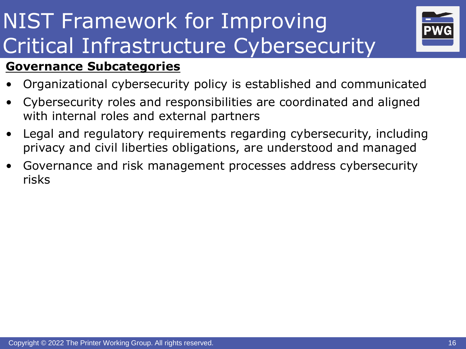

#### **Governance Subcategories**

- Organizational cybersecurity policy is established and communicated
- Cybersecurity roles and responsibilities are coordinated and aligned with internal roles and external partners
- Legal and regulatory requirements regarding cybersecurity, including privacy and civil liberties obligations, are understood and managed
- Governance and risk management processes address cybersecurity risks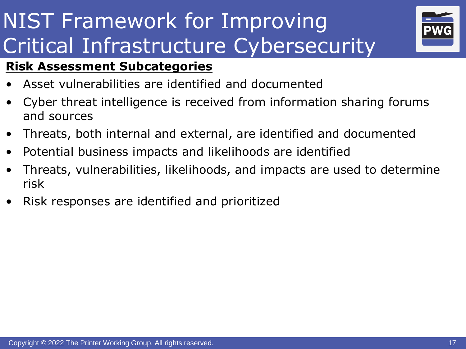

#### **Risk Assessment Subcategories**

- Asset vulnerabilities are identified and documented
- Cyber threat intelligence is received from information sharing forums and sources
- Threats, both internal and external, are identified and documented
- Potential business impacts and likelihoods are identified
- Threats, vulnerabilities, likelihoods, and impacts are used to determine risk
- Risk responses are identified and prioritized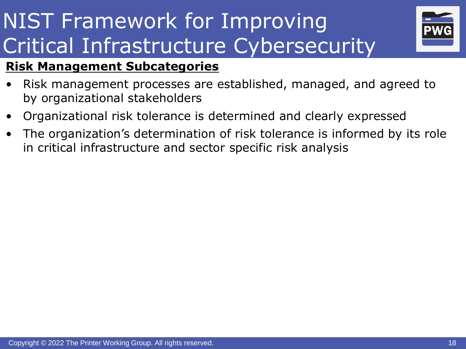

#### **Risk Management Subcategories**

- Risk management processes are established, managed, and agreed to by organizational stakeholders
- Organizational risk tolerance is determined and clearly expressed
- The organization's determination of risk tolerance is informed by its role in critical infrastructure and sector specific risk analysis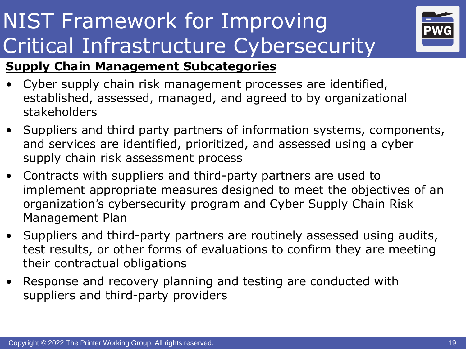

#### **Supply Chain Management Subcategories**

- Cyber supply chain risk management processes are identified, established, assessed, managed, and agreed to by organizational stakeholders
- Suppliers and third party partners of information systems, components, and services are identified, prioritized, and assessed using a cyber supply chain risk assessment process
- Contracts with suppliers and third-party partners are used to implement appropriate measures designed to meet the objectives of an organization's cybersecurity program and Cyber Supply Chain Risk Management Plan
- Suppliers and third-party partners are routinely assessed using audits, test results, or other forms of evaluations to confirm they are meeting their contractual obligations
- Response and recovery planning and testing are conducted with suppliers and third-party providers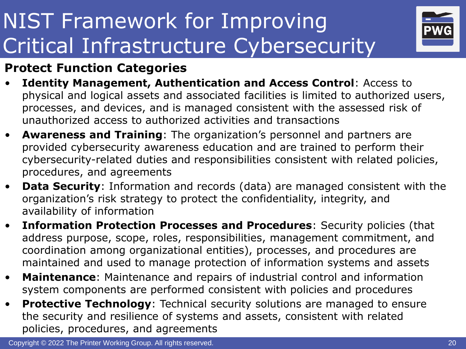

#### **Protect Function Categories**

- **Identity Management, Authentication and Access Control**: Access to physical and logical assets and associated facilities is limited to authorized users, processes, and devices, and is managed consistent with the assessed risk of unauthorized access to authorized activities and transactions
- **Awareness and Training**: The organization's personnel and partners are provided cybersecurity awareness education and are trained to perform their cybersecurity-related duties and responsibilities consistent with related policies, procedures, and agreements
- **Data Security**: Information and records (data) are managed consistent with the organization's risk strategy to protect the confidentiality, integrity, and availability of information
- **Information Protection Processes and Procedures**: Security policies (that address purpose, scope, roles, responsibilities, management commitment, and coordination among organizational entities), processes, and procedures are maintained and used to manage protection of information systems and assets
- **Maintenance**: Maintenance and repairs of industrial control and information system components are performed consistent with policies and procedures
- **Protective Technology:** Technical security solutions are managed to ensure the security and resilience of systems and assets, consistent with related policies, procedures, and agreements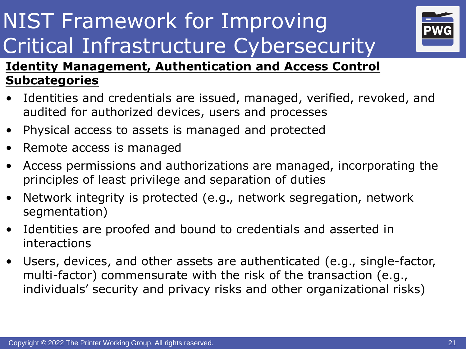



#### **Identity Management, Authentication and Access Control Subcategories**

- Identities and credentials are issued, managed, verified, revoked, and audited for authorized devices, users and processes
- Physical access to assets is managed and protected
- Remote access is managed
- Access permissions and authorizations are managed, incorporating the principles of least privilege and separation of duties
- Network integrity is protected (e.g., network segregation, network segmentation)
- Identities are proofed and bound to credentials and asserted in interactions
- Users, devices, and other assets are authenticated (e.g., single-factor, multi-factor) commensurate with the risk of the transaction (e.g., individuals' security and privacy risks and other organizational risks)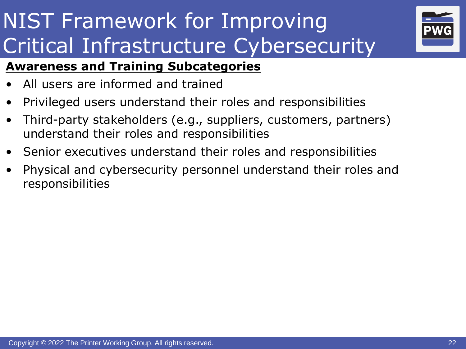

#### **Awareness and Training Subcategories**

- All users are informed and trained
- Privileged users understand their roles and responsibilities
- Third-party stakeholders (e.g., suppliers, customers, partners) understand their roles and responsibilities
- Senior executives understand their roles and responsibilities
- Physical and cybersecurity personnel understand their roles and responsibilities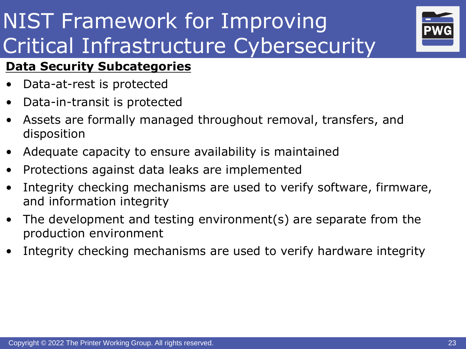

#### **Data Security Subcategories**

- Data-at-rest is protected
- Data-in-transit is protected
- Assets are formally managed throughout removal, transfers, and disposition
- Adequate capacity to ensure availability is maintained
- Protections against data leaks are implemented
- Integrity checking mechanisms are used to verify software, firmware, and information integrity
- The development and testing environment(s) are separate from the production environment
- Integrity checking mechanisms are used to verify hardware integrity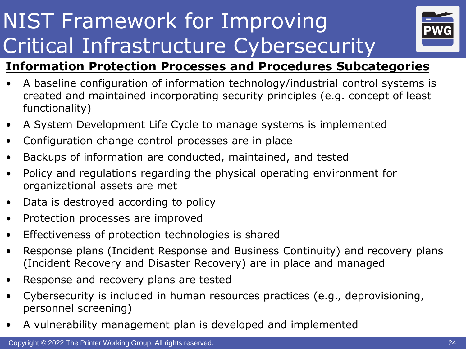

#### **Information Protection Processes and Procedures Subcategories**

- A baseline configuration of information technology/industrial control systems is created and maintained incorporating security principles (e.g. concept of least functionality)
- A System Development Life Cycle to manage systems is implemented
- Configuration change control processes are in place
- Backups of information are conducted, maintained, and tested
- Policy and regulations regarding the physical operating environment for organizational assets are met
- Data is destroyed according to policy
- Protection processes are improved
- Effectiveness of protection technologies is shared
- Response plans (Incident Response and Business Continuity) and recovery plans (Incident Recovery and Disaster Recovery) are in place and managed
- Response and recovery plans are tested
- Cybersecurity is included in human resources practices (e.g., deprovisioning, personnel screening)
- A vulnerability management plan is developed and implemented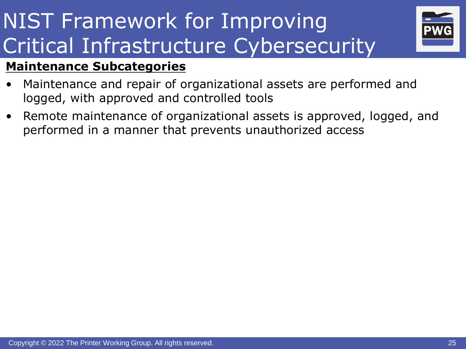

#### **Maintenance Subcategories**

- Maintenance and repair of organizational assets are performed and logged, with approved and controlled tools
- Remote maintenance of organizational assets is approved, logged, and performed in a manner that prevents unauthorized access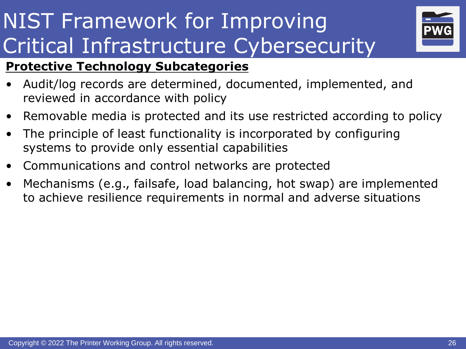

#### **Protective Technology Subcategories**

- Audit/log records are determined, documented, implemented, and reviewed in accordance with policy
- Removable media is protected and its use restricted according to policy
- The principle of least functionality is incorporated by configuring systems to provide only essential capabilities
- Communications and control networks are protected
- Mechanisms (e.g., failsafe, load balancing, hot swap) are implemented to achieve resilience requirements in normal and adverse situations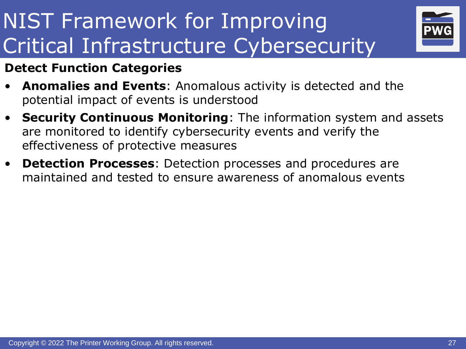

#### **Detect Function Categories**

- **Anomalies and Events**: Anomalous activity is detected and the potential impact of events is understood
- **Security Continuous Monitoring**: The information system and assets are monitored to identify cybersecurity events and verify the effectiveness of protective measures
- **Detection Processes**: Detection processes and procedures are maintained and tested to ensure awareness of anomalous events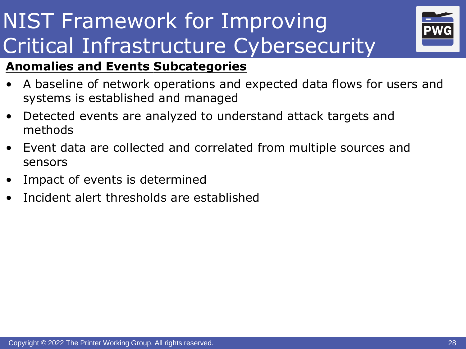

#### **Anomalies and Events Subcategories**

- A baseline of network operations and expected data flows for users and systems is established and managed
- Detected events are analyzed to understand attack targets and methods
- Event data are collected and correlated from multiple sources and sensors
- Impact of events is determined
- Incident alert thresholds are established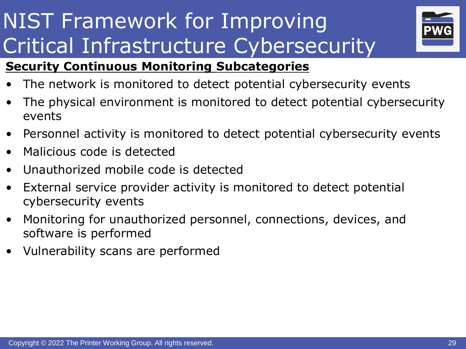#### **Security Continuous Monitoring Subcategories** NIST Framework for Improving Critical Infrastructure Cybersecurity



- The network is monitored to detect potential cybersecurity events
- The physical environment is monitored to detect potential cybersecurity events
- Personnel activity is monitored to detect potential cybersecurity events
- Malicious code is detected
- Unauthorized mobile code is detected
- External service provider activity is monitored to detect potential cybersecurity events
- Monitoring for unauthorized personnel, connections, devices, and software is performed
- Vulnerability scans are performed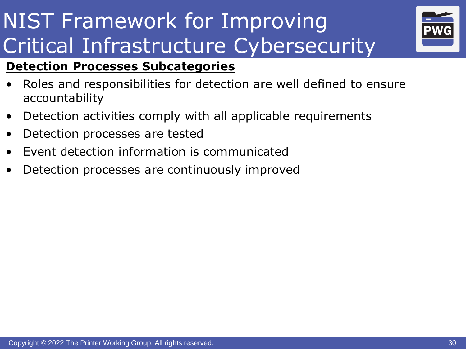

#### **Detection Processes Subcategories**

- Roles and responsibilities for detection are well defined to ensure accountability
- Detection activities comply with all applicable requirements
- Detection processes are tested
- Event detection information is communicated
- Detection processes are continuously improved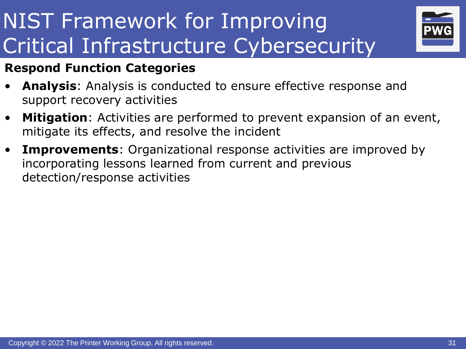

#### **Respond Function Categories**

- **Analysis**: Analysis is conducted to ensure effective response and support recovery activities
- **Mitigation**: Activities are performed to prevent expansion of an event, mitigate its effects, and resolve the incident
- **Improvements**: Organizational response activities are improved by incorporating lessons learned from current and previous detection/response activities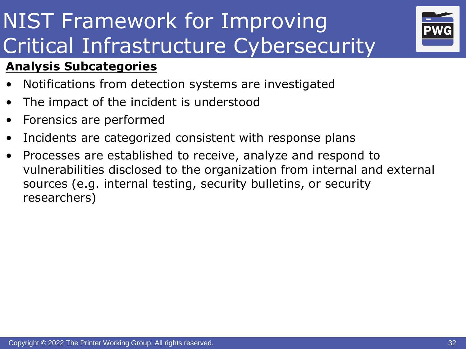

#### **Analysis Subcategories**

- Notifications from detection systems are investigated
- The impact of the incident is understood
- Forensics are performed
- Incidents are categorized consistent with response plans
- Processes are established to receive, analyze and respond to vulnerabilities disclosed to the organization from internal and external sources (e.g. internal testing, security bulletins, or security researchers)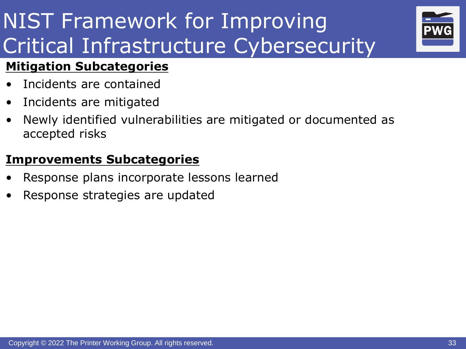

#### **Mitigation Subcategories**

- Incidents are contained
- Incidents are mitigated
- Newly identified vulnerabilities are mitigated or documented as accepted risks

#### **Improvements Subcategories**

- Response plans incorporate lessons learned
- Response strategies are updated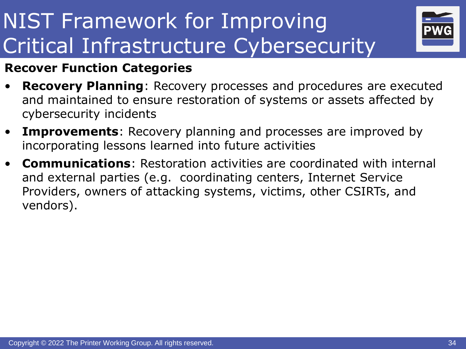

#### **Recover Function Categories**

- **Recovery Planning:** Recovery processes and procedures are executed and maintained to ensure restoration of systems or assets affected by cybersecurity incidents
- **Improvements**: Recovery planning and processes are improved by incorporating lessons learned into future activities
- **Communications**: Restoration activities are coordinated with internal and external parties (e.g. coordinating centers, Internet Service Providers, owners of attacking systems, victims, other CSIRTs, and vendors).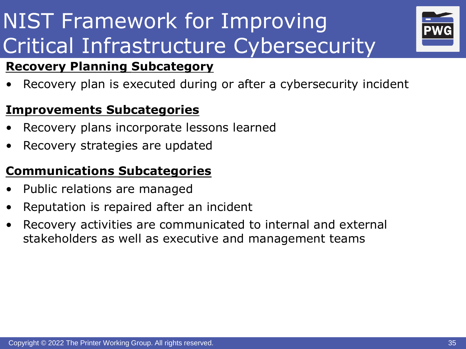

#### **Recovery Planning Subcategory**

Recovery plan is executed during or after a cybersecurity incident

#### **Improvements Subcategories**

- Recovery plans incorporate lessons learned
- Recovery strategies are updated

#### **Communications Subcategories**

- Public relations are managed
- Reputation is repaired after an incident
- Recovery activities are communicated to internal and external stakeholders as well as executive and management teams